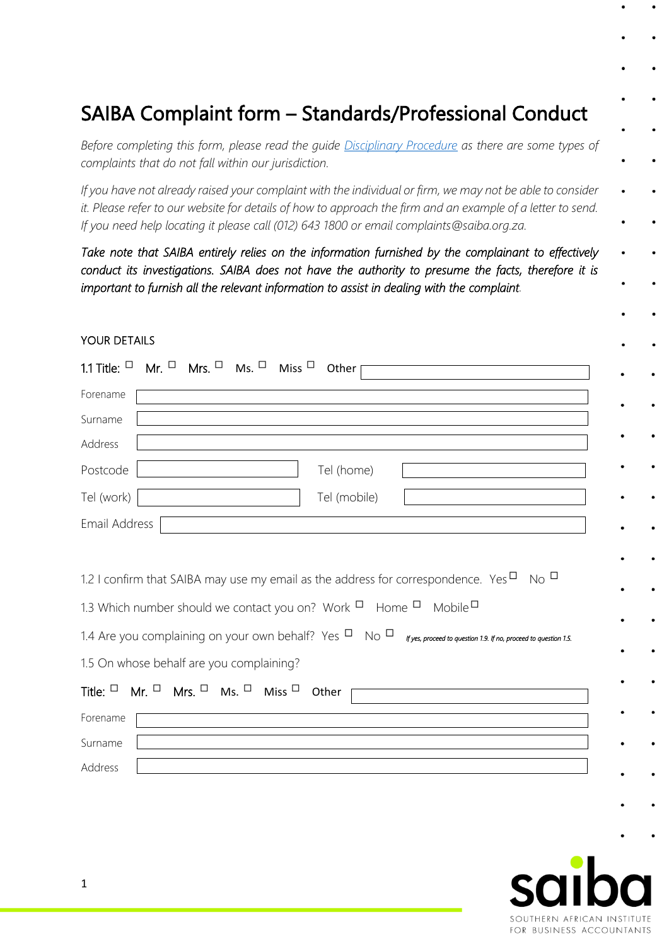# SAIBA Complaint form – Standards/Professional Conduct

*Before completing this form, please read the guide [Disciplinary Procedure](https://saiba.org.za/app/assets/pdf/2020-DisciplinaryProcedure.pdf) as there are some types of complaints that do not fall within our jurisdiction.* 

*If you have not already raised your complaint with the individual or firm, we may not be able to consider*  it. Please refer to our website for details of how to approach the firm and an example of a letter to send. *If you need help locating it please call (012) 643 1800 or email complaints@saiba.org.za.*

*Take note that SAIBA entirely relies on the information furnished by the complainant to effectively conduct its investigations. SAIBA does not have the authority to presume the facts, therefore it is important to furnish all the relevant information to assist in dealing with the complaint.*

#### YOUR DETAILS

| Forename<br>Surname<br>Address<br>Postcode<br>Tel (home)<br>Tel (work)<br>Tel (mobile)<br>Email Address                                                                                                                                                                                  |
|------------------------------------------------------------------------------------------------------------------------------------------------------------------------------------------------------------------------------------------------------------------------------------------|
|                                                                                                                                                                                                                                                                                          |
|                                                                                                                                                                                                                                                                                          |
|                                                                                                                                                                                                                                                                                          |
|                                                                                                                                                                                                                                                                                          |
|                                                                                                                                                                                                                                                                                          |
|                                                                                                                                                                                                                                                                                          |
| 1.3 Which number should we contact you on? Work <sup>D</sup> Home <sup>D</sup> Mobile <sup>D</sup><br>1.4 Are you complaining on your own behalf? Yes $\Box$ No $\Box$ <i>fyes, proceed to question 1.9. If no, proceed to question 1.5.</i><br>1.5 On whose behalf are you complaining? |
| Title: $\Box$ Mr. $\Box$ Mrs. $\Box$ Ms. $\Box$ Miss $\Box$ Other                                                                                                                                                                                                                        |
| Forename                                                                                                                                                                                                                                                                                 |
| Surname                                                                                                                                                                                                                                                                                  |
| Address                                                                                                                                                                                                                                                                                  |

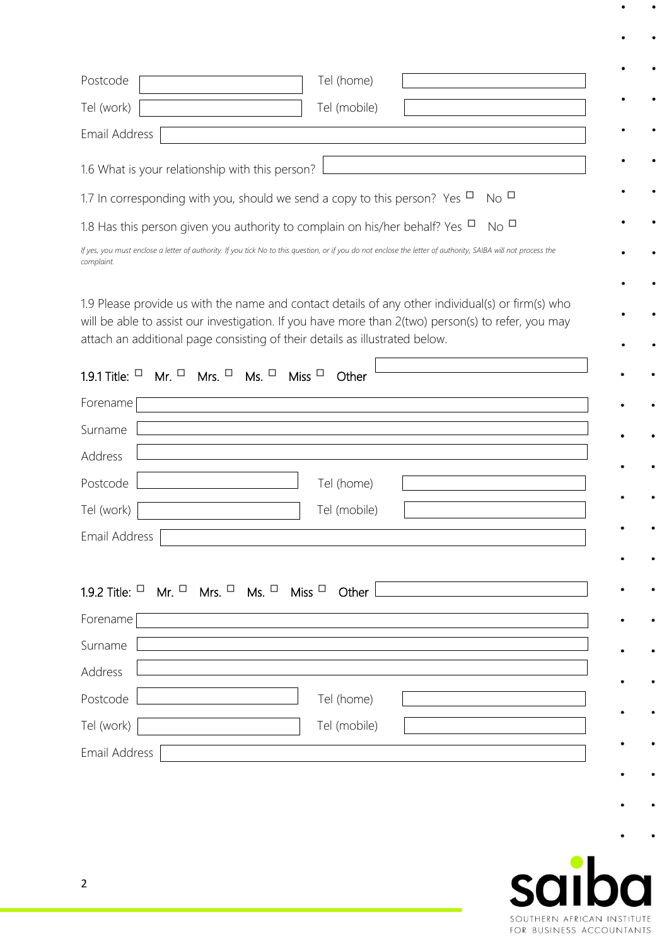| Postcode<br>Tel (home)                                                                                                                                                                                                                                                                 |  |
|----------------------------------------------------------------------------------------------------------------------------------------------------------------------------------------------------------------------------------------------------------------------------------------|--|
| Tel (work)<br>Tel (mobile)                                                                                                                                                                                                                                                             |  |
| Email Address                                                                                                                                                                                                                                                                          |  |
| 1.6 What is your relationship with this person?                                                                                                                                                                                                                                        |  |
| N <sub>O</sub><br>1.7 In corresponding with you, should we send a copy to this person? Yes $\Box$                                                                                                                                                                                      |  |
| $N_{\rm O}$ $\Box$<br>1.8 Has this person given you authority to complain on his/her behalf? Yes $\Box$                                                                                                                                                                                |  |
| If yes, you must enclose a letter of authority. If you tick No to this question, or if you do not enclose the letter of authority, SAIBA will not process the<br>complaint.                                                                                                            |  |
| 1.9 Please provide us with the name and contact details of any other individual(s) or firm(s) who<br>will be able to assist our investigation. If you have more than 2(two) person(s) to refer, you may<br>attach an additional page consisting of their details as illustrated below. |  |
| 1.9.1 Title: $\Box$ Mr. $\Box$ Mrs. $\Box$ Ms. $\Box$ Miss $\Box$<br>Other                                                                                                                                                                                                             |  |
| Forename                                                                                                                                                                                                                                                                               |  |
| Surname                                                                                                                                                                                                                                                                                |  |
| Address                                                                                                                                                                                                                                                                                |  |
| Postcode<br>Tel (home)                                                                                                                                                                                                                                                                 |  |
| Tel (work)<br>Tel (mobile)                                                                                                                                                                                                                                                             |  |
| Email Address                                                                                                                                                                                                                                                                          |  |
|                                                                                                                                                                                                                                                                                        |  |
| 1.9.2 Title: $\Box$ Mr. $\Box$ Mrs. $\Box$ Ms. $\Box$ Miss $\Box$ Other                                                                                                                                                                                                                |  |
| Forename                                                                                                                                                                                                                                                                               |  |
| Surname                                                                                                                                                                                                                                                                                |  |
| Address                                                                                                                                                                                                                                                                                |  |
| Postcode<br>Tel (home)                                                                                                                                                                                                                                                                 |  |
| Tel (work)<br>Tel (mobile)                                                                                                                                                                                                                                                             |  |
| Email Address                                                                                                                                                                                                                                                                          |  |
|                                                                                                                                                                                                                                                                                        |  |



 $\bullet$ 

 $\bullet$ 

 $\bullet$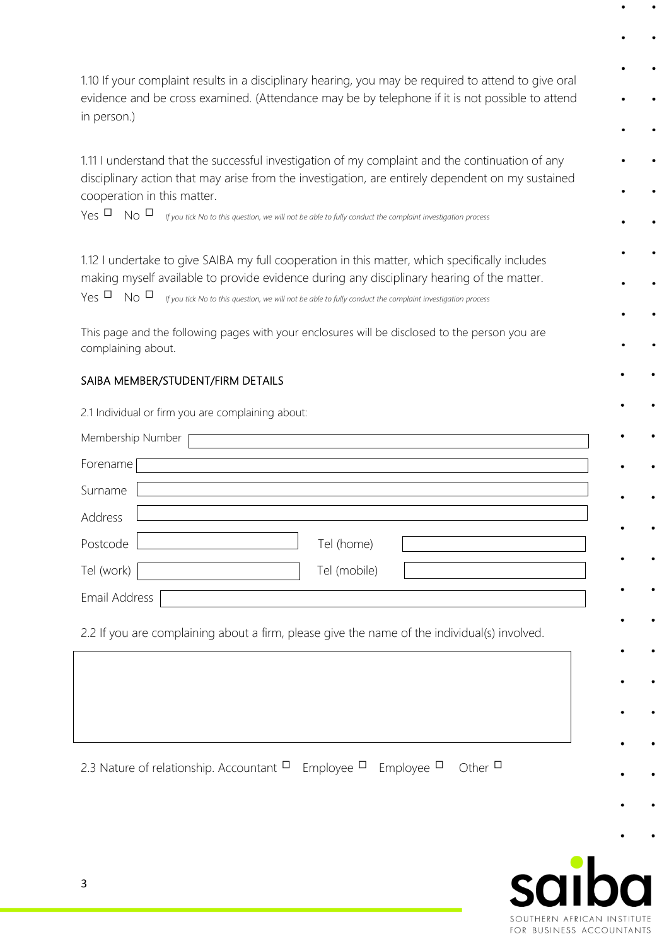1.10 If your complaint results in a disciplinary hearing, you may be required to attend to give oral evidence and be cross examined. (Attendance may be by telephone if it is not possible to attend in person.)

1.11 I understand that the successful investigation of my complaint and the continuation of any disciplinary action that may arise from the investigation, are entirely dependent on my sustained cooperation in this matter.

Yes No *If you tick No to this question, we will not be able to fully conduct the complaint investigation process* 

1.12 I undertake to give SAIBA my full cooperation in this matter, which specifically includes making myself available to provide evidence during any disciplinary hearing of the matter.

Yes No *If you tick No to this question, we will not be able to fully conduct the complaint investigation process* 

This page and the following pages with your enclosures will be disclosed to the person you are complaining about.

#### SAIBA MEMBER/STUDENT/FIRM DETAILS

2.1 Individual or firm you are complaining about:

| Membership Number                                                                            |  |
|----------------------------------------------------------------------------------------------|--|
| Forename                                                                                     |  |
| Surname                                                                                      |  |
| Address                                                                                      |  |
| Postcode<br>Tel (home)                                                                       |  |
| Tel (work)<br>Tel (mobile)                                                                   |  |
| Email Address                                                                                |  |
| 2.2 If you are complaining about a firm, please give the name of the individual(s) involved. |  |
|                                                                                              |  |
|                                                                                              |  |
|                                                                                              |  |

2.3 Nature of relationship. Accountant  $\Box$  Employee  $\Box$  Employee  $\Box$  Other  $\Box$ 

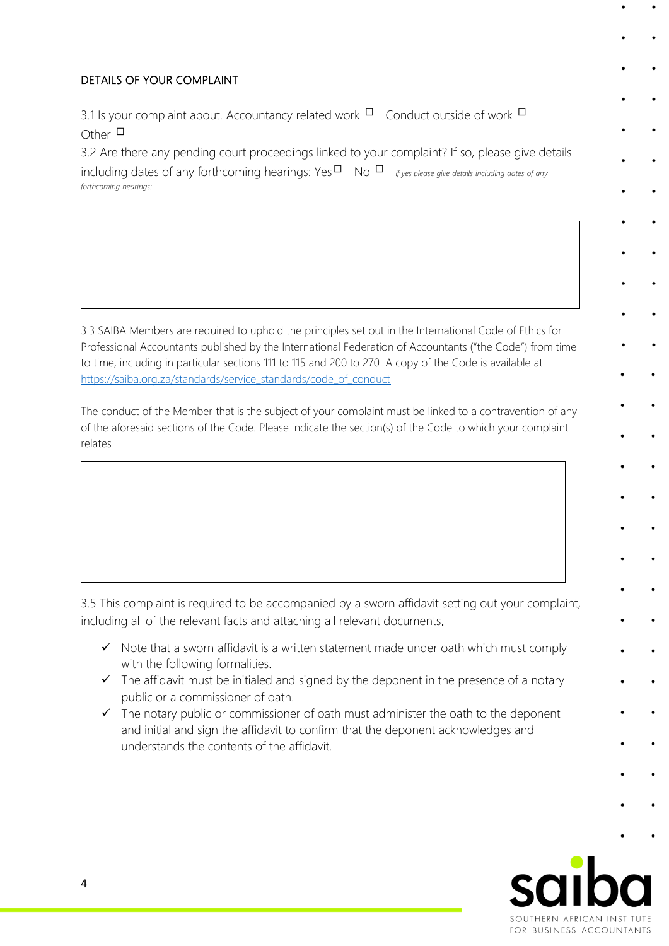### DETAILS OF YOUR COMPLAINT

Yes No

*If No, please tell us why:* 

3.1 Is your complaint about. Accountancy related work  $\Box$  Conduct outside of work  $\Box$ Other  $\square$ 

3.3 Have you already raised this complaint with the individual or firm in writing?

*If Yes, please tell us what the outcome was and enclose copies of the correspondence.* 

3.2 Are there any pending court proceedings linked to your complaint? If so, please give details

including dates of any forthcoming hearings: Yes  $\Box$  No  $\Box$  *if yes please give details including dates of any forthcoming hearings:*

3.3 SAIBA Members are required to uphold the principles set out in the International Code of Ethics for Professional Accountants published by the International Federation of Accountants ("the Code") from time to time, including in particular sections 111 to 115 and 200 to 270. A copy of the Code is available at [https://saiba.org.za/standards/service\\_standards/code\\_of\\_conduct](https://saiba.org.za/standards/service_standards/code_of_conduct) 

The conduct of the Member that is the subject of your complaint must be linked to a contravention of any of the aforesaid sections of the Code. Please indicate the section(s) of the Code to which your complaint relates

3.5 This complaint is required to be accompanied by a sworn affidavit setting out your complaint, including all of the relevant facts and attaching all relevant documents.

- ✓ Note that a sworn affidavit is a written statement made under oath which must comply with the following formalities.
- $\checkmark$  The affidavit must be initialed and signed by the deponent in the presence of a notary public or a commissioner of oath.
- ✓ The notary public or commissioner of oath must administer the oath to the deponent and initial and sign the affidavit to confirm that the deponent acknowledges and understands the contents of the affidavit.

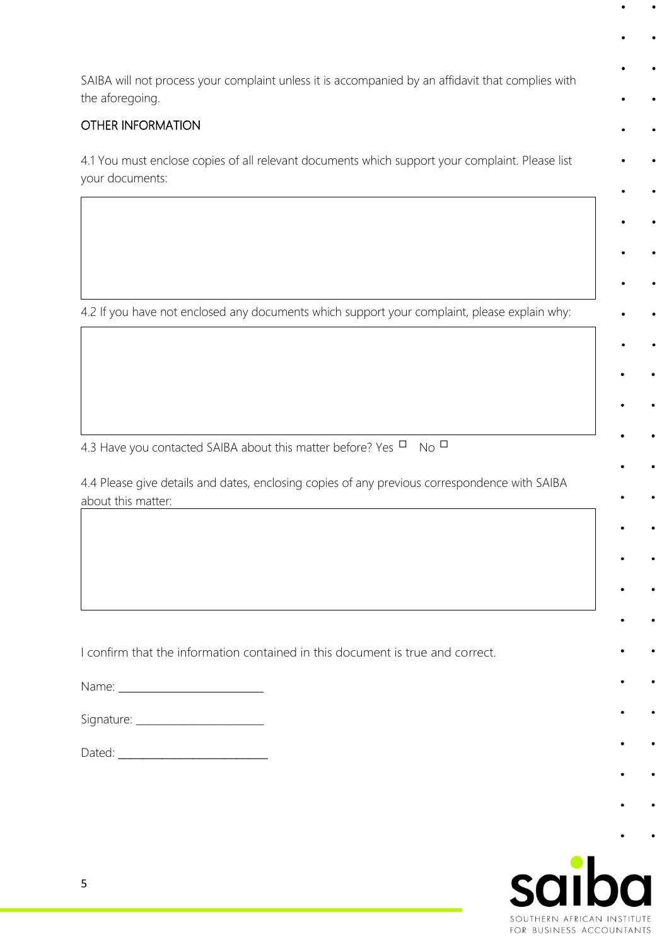SAIBA will not process your complaint unless it is accompanied by an affidavit that complies with the aforegoing.

## OTHER INFORMATION

4.1 You must enclose copies of all relevant documents which support your complaint. Please list your documents:

4.2 If you have not enclosed any documents which support your complaint, please explain why:

4.3 Have you contacted SAIBA about this matter before? Yes  $\Box$  No  $\Box$ 

4.4 Please give details and dates, enclosing copies of any previous correspondence with SAIBA about this matter:

I confirm that the information contained in this document is true and correct.

Name:

Dated: \_\_\_\_\_\_\_\_\_\_\_\_\_\_\_\_\_\_\_\_\_\_\_\_

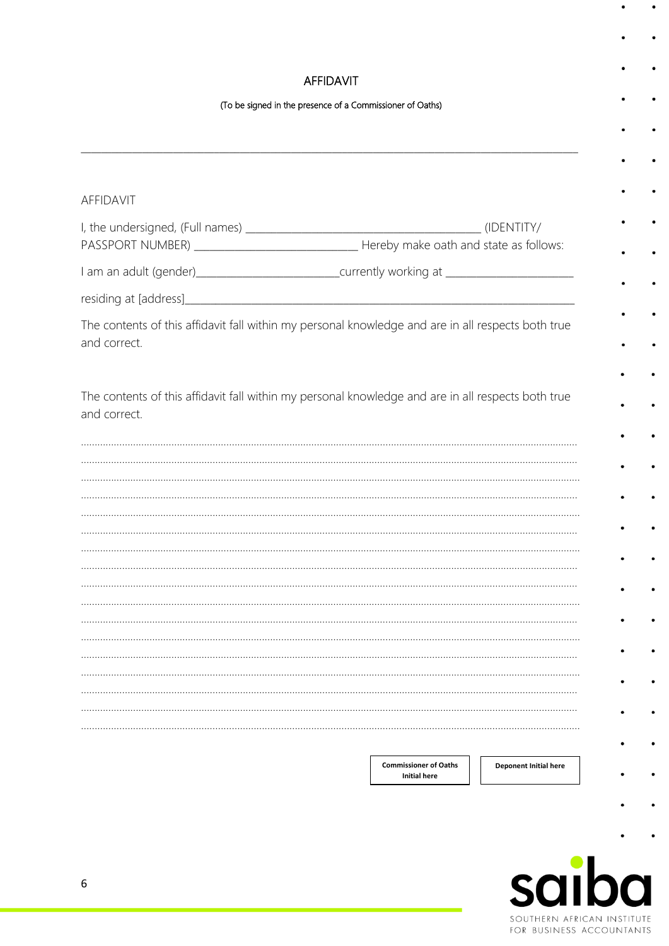## **AFFIDAVIT**

#### (To be signed in the presence of a Commissioner of Oaths)

| <b>AFFIDAVIT</b>                                                                                                   |                                                     |                       |
|--------------------------------------------------------------------------------------------------------------------|-----------------------------------------------------|-----------------------|
|                                                                                                                    |                                                     |                       |
| I am an adult (gender)______________________________currently working at __________________________                |                                                     |                       |
| residing at [address]                                                                                              |                                                     |                       |
| The contents of this affidavit fall within my personal knowledge and are in all respects both true<br>and correct. |                                                     |                       |
| The contents of this affidavit fall within my personal knowledge and are in all respects both true<br>and correct. |                                                     |                       |
|                                                                                                                    |                                                     |                       |
|                                                                                                                    |                                                     |                       |
|                                                                                                                    |                                                     |                       |
|                                                                                                                    |                                                     |                       |
|                                                                                                                    |                                                     |                       |
|                                                                                                                    |                                                     |                       |
|                                                                                                                    |                                                     |                       |
|                                                                                                                    |                                                     |                       |
|                                                                                                                    |                                                     |                       |
|                                                                                                                    |                                                     |                       |
|                                                                                                                    |                                                     |                       |
|                                                                                                                    |                                                     |                       |
|                                                                                                                    |                                                     |                       |
|                                                                                                                    |                                                     |                       |
|                                                                                                                    |                                                     |                       |
|                                                                                                                    | <b>Commissioner of Oaths</b><br><b>Initial here</b> | Deponent Initial here |
|                                                                                                                    |                                                     |                       |



 $\ddot{\phantom{0}}$ 

 $\bullet$ 

 $\bullet$ 

 $\bullet$ 

 $\bullet$ 

 $\bullet$